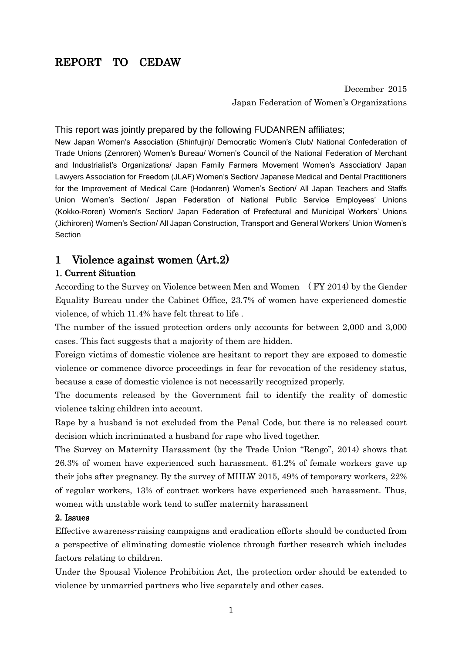# REPORT TO CEDAW

 December 2015 Japan Federation of Women's Organizations

#### This report was jointly prepared by the following FUDANREN affiliates;

New Japan Women's Association (Shinfujin)/ Democratic Women's Club/ National Confederation of Trade Unions (Zenroren) Women's Bureau/ Women's Council of the National Federation of Merchant and Industrialist's Organizations/ Japan Family Farmers Movement Women's Association/ Japan Lawyers Association for Freedom (JLAF) Women's Section/ Japanese Medical and Dental Practitioners for the Improvement of Medical Care (Hodanren) Women's Section/ All Japan Teachers and Staffs Union Women's Section/ Japan Federation of National Public Service Employees' Unions (Kokko-Roren) Women's Section/ Japan Federation of Prefectural and Municipal Workers' Unions (Jichiroren) Women's Section/ All Japan Construction, Transport and General Workers' Union Women's Section

### 1 Violence against women (Art.2)

#### 1. Current Situation

According to the Survey on Violence between Men and Women ( FY 2014) by the Gender Equality Bureau under the Cabinet Office, 23.7% of women have experienced domestic violence, of which 11.4% have felt threat to life .

The number of the issued protection orders only accounts for between 2,000 and 3,000 cases. This fact suggests that a majority of them are hidden.

Foreign victims of domestic violence are hesitant to report they are exposed to domestic violence or commence divorce proceedings in fear for revocation of the residency status, because a case of domestic violence is not necessarily recognized properly.

The documents released by the Government fail to identify the reality of domestic violence taking children into account.

Rape by a husband is not excluded from the Penal Code, but there is no released court decision which incriminated a husband for rape who lived together.

The Survey on Maternity Harassment (by the Trade Union "Rengo", 2014) shows that 26.3% of women have experienced such harassment. 61.2% of female workers gave up their jobs after pregnancy. By the survey of MHLW 2015, 49% of temporary workers, 22% of regular workers, 13% of contract workers have experienced such harassment. Thus, women with unstable work tend to suffer maternity harassment

#### 2. Issues

Effective awareness-raising campaigns and eradication efforts should be conducted from a perspective of eliminating domestic violence through further research which includes factors relating to children.

Under the Spousal Violence Prohibition Act, the protection order should be extended to violence by unmarried partners who live separately and other cases.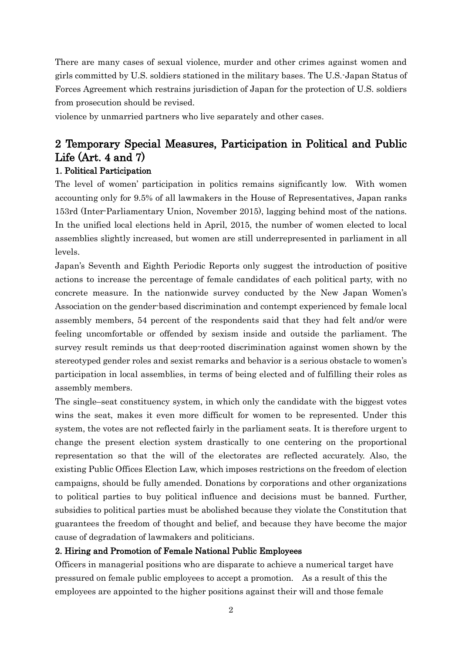There are many cases of sexual violence, murder and other crimes against women and girls committed by U.S. soldiers stationed in the military bases. The U.S.-Japan Status of Forces Agreement which restrains jurisdiction of Japan for the protection of U.S. soldiers from prosecution should be revised.

violence by unmarried partners who live separately and other cases.

# 2 Temporary Special Measures, Participation in Political and Public Life (Art. 4 and 7)

### 1. Political Participation

The level of women' participation in politics remains significantly low. With women accounting only for 9.5% of all lawmakers in the House of Representatives, Japan ranks 153rd (Inter-Parliamentary Union, November 2015), lagging behind most of the nations. In the unified local elections held in April, 2015, the number of women elected to local assemblies slightly increased, but women are still underrepresented in parliament in all levels.

Japan's Seventh and Eighth Periodic Reports only suggest the introduction of positive actions to increase the percentage of female candidates of each political party, with no concrete measure. In the nationwide survey conducted by the New Japan Women's Association on the gender-based discrimination and contempt experienced by female local assembly members, 54 percent of the respondents said that they had felt and/or were feeling uncomfortable or offended by sexism inside and outside the parliament. The survey result reminds us that deep-rooted discrimination against women shown by the stereotyped gender roles and sexist remarks and behavior is a serious obstacle to women's participation in local assemblies, in terms of being elected and of fulfilling their roles as assembly members.

The single–seat constituency system, in which only the candidate with the biggest votes wins the seat, makes it even more difficult for women to be represented. Under this system, the votes are not reflected fairly in the parliament seats. It is therefore urgent to change the present election system drastically to one centering on the proportional representation so that the will of the electorates are reflected accurately. Also, the existing Public Offices Election Law, which imposes restrictions on the freedom of election campaigns, should be fully amended. Donations by corporations and other organizations to political parties to buy political influence and decisions must be banned. Further, subsidies to political parties must be abolished because they violate the Constitution that guarantees the freedom of thought and belief, and because they have become the major cause of degradation of lawmakers and politicians.

#### 2. Hiring and Promotion of Female National Public Employees

Officers in managerial positions who are disparate to achieve a numerical target have pressured on female public employees to accept a promotion. As a result of this the employees are appointed to the higher positions against their will and those female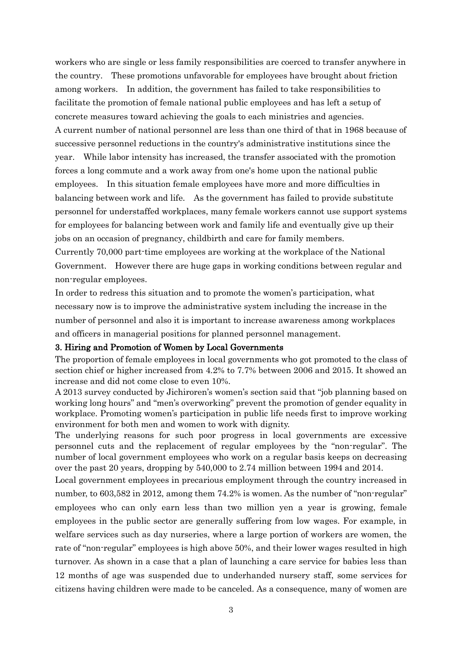workers who are single or less family responsibilities are coerced to transfer anywhere in the country. These promotions unfavorable for employees have brought about friction among workers. In addition, the government has failed to take responsibilities to facilitate the promotion of female national public employees and has left a setup of concrete measures toward achieving the goals to each ministries and agencies. A current number of national personnel are less than one third of that in 1968 because of successive personnel reductions in the country's administrative institutions since the year. While labor intensity has increased, the transfer associated with the promotion forces a long commute and a work away from one's home upon the national public employees. In this situation female employees have more and more difficulties in balancing between work and life. As the government has failed to provide substitute personnel for understaffed workplaces, many female workers cannot use support systems for employees for balancing between work and family life and eventually give up their jobs on an occasion of pregnancy, childbirth and care for family members.

Currently 70,000 part-time employees are working at the workplace of the National Government. However there are huge gaps in working conditions between regular and non-regular employees.

In order to redress this situation and to promote the women's participation, what necessary now is to improve the administrative system including the increase in the number of personnel and also it is important to increase awareness among workplaces and officers in managerial positions for planned personnel management.

#### 3. Hiring and Promotion of Women by Local Governments

The proportion of female employees in local governments who got promoted to the class of section chief or higher increased from 4.2% to 7.7% between 2006 and 2015. It showed an increase and did not come close to even 10%.

A 2013 survey conducted by Jichiroren's women's section said that "job planning based on working long hours" and "men's overworking" prevent the promotion of gender equality in workplace. Promoting women's participation in public life needs first to improve working environment for both men and women to work with dignity.

The underlying reasons for such poor progress in local governments are excessive personnel cuts and the replacement of regular employees by the "non-regular". The number of local government employees who work on a regular basis keeps on decreasing over the past 20 years, dropping by 540,000 to 2.74 million between 1994 and 2014.

Local government employees in precarious employment through the country increased in number, to 603,582 in 2012, among them 74.2% is women. As the number of "non-regular" employees who can only earn less than two million yen a year is growing, female employees in the public sector are generally suffering from low wages. For example, in welfare services such as day nurseries, where a large portion of workers are women, the rate of "non-regular" employees is high above 50%, and their lower wages resulted in high turnover. As shown in a case that a plan of launching a care service for babies less than 12 months of age was suspended due to underhanded nursery staff, some services for citizens having children were made to be canceled. As a consequence, many of women are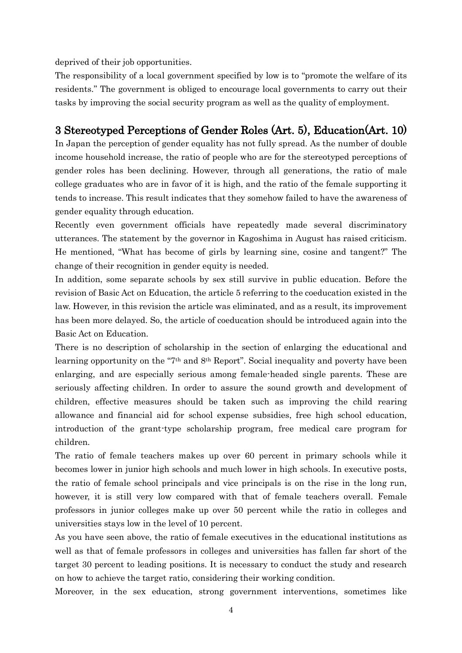deprived of their job opportunities.

The responsibility of a local government specified by low is to "promote the welfare of its residents." The government is obliged to encourage local governments to carry out their tasks by improving the social security program as well as the quality of employment.

# 3 Stereotyped Perceptions of Gender Roles (Art. 5), Education(Art. 10)

In Japan the perception of gender equality has not fully spread. As the number of double income household increase, the ratio of people who are for the stereotyped perceptions of gender roles has been declining. However, through all generations, the ratio of male college graduates who are in favor of it is high, and the ratio of the female supporting it tends to increase. This result indicates that they somehow failed to have the awareness of gender equality through education.

Recently even government officials have repeatedly made several discriminatory utterances. The statement by the governor in Kagoshima in August has raised criticism. He mentioned, "What has become of girls by learning sine, cosine and tangent?" The change of their recognition in gender equity is needed.

In addition, some separate schools by sex still survive in public education. Before the revision of Basic Act on Education, the article 5 referring to the coeducation existed in the law. However, in this revision the article was eliminated, and as a result, its improvement has been more delayed. So, the article of coeducation should be introduced again into the Basic Act on Education.

There is no description of scholarship in the section of enlarging the educational and learning opportunity on the "7th and 8th Report". Social inequality and poverty have been enlarging, and are especially serious among female-headed single parents. These are seriously affecting children. In order to assure the sound growth and development of children, effective measures should be taken such as improving the child rearing allowance and financial aid for school expense subsidies, free high school education, introduction of the grant-type scholarship program, free medical care program for children.

The ratio of female teachers makes up over 60 percent in primary schools while it becomes lower in junior high schools and much lower in high schools. In executive posts, the ratio of female school principals and vice principals is on the rise in the long run, however, it is still very low compared with that of female teachers overall. Female professors in junior colleges make up over 50 percent while the ratio in colleges and universities stays low in the level of 10 percent.

As you have seen above, the ratio of female executives in the educational institutions as well as that of female professors in colleges and universities has fallen far short of the target 30 percent to leading positions. It is necessary to conduct the study and research on how to achieve the target ratio, considering their working condition.

Moreover, in the sex education, strong government interventions, sometimes like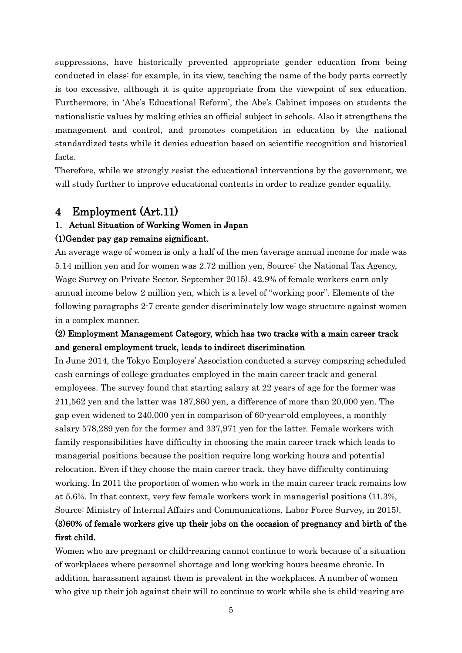suppressions, have historically prevented appropriate gender education from being conducted in class: for example, in its view, teaching the name of the body parts correctly is too excessive, although it is quite appropriate from the viewpoint of sex education. Furthermore, in 'Abe's Educational Reform', the Abe's Cabinet imposes on students the nationalistic values by making ethics an official subject in schools. Also it strengthens the management and control, and promotes competition in education by the national standardized tests while it denies education based on scientific recognition and historical facts.

Therefore, while we strongly resist the educational interventions by the government, we will study further to improve educational contents in order to realize gender equality.

# 4 Employment (Art.11)

### 1. Actual Situation of Working Women in Japan (1)Gender pay gap remains significant.

An average wage of women is only a half of the men (average annual income for male was 5.14 million yen and for women was 2.72 million yen, Source: the National Tax Agency, Wage Survey on Private Sector, September 2015). 42.9% of female workers earn only annual income below 2 million yen, which is a level of "working poor". Elements of the following paragraphs 2-7 create gender discriminately low wage structure against women in a complex manner.

# (2) Employment Management Category, which has two tracks with a main career track and general employment truck, leads to indirect discrimination

In June 2014, the Tokyo Employers' Association conducted a survey comparing scheduled cash earnings of college graduates employed in the main career track and general employees. The survey found that starting salary at 22 years of age for the former was 211,562 yen and the latter was 187,860 yen, a difference of more than 20,000 yen. The gap even widened to 240,000 yen in comparison of 60-year-old employees, a monthly salary 578,289 yen for the former and 337,971 yen for the latter. Female workers with family responsibilities have difficulty in choosing the main career track which leads to managerial positions because the position require long working hours and potential relocation. Even if they choose the main career track, they have difficulty continuing working. In 2011 the proportion of women who work in the main career track remains low at 5.6%. In that context, very few female workers work in managerial positions (11.3%, Source: Ministry of Internal Affairs and Communications, Labor Force Survey, in 2015). (3)60% of female workers give up their jobs on the occasion of pregnancy and birth of the

### first child.

Women who are pregnant or child-rearing cannot continue to work because of a situation of workplaces where personnel shortage and long working hours became chronic. In addition, harassment against them is prevalent in the workplaces. A number of women who give up their job against their will to continue to work while she is child-rearing are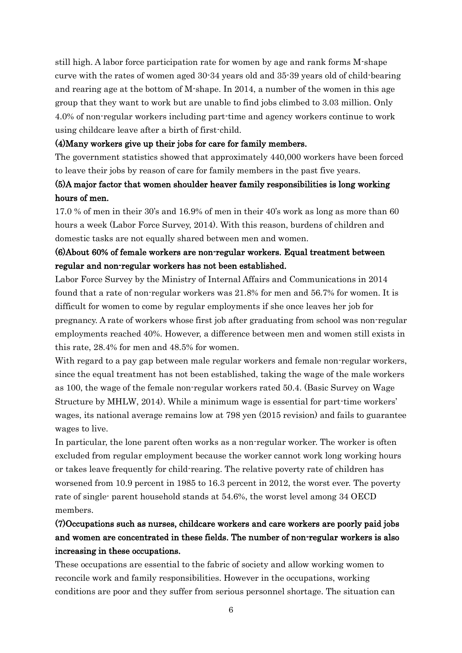still high. A labor force participation rate for women by age and rank forms M-shape curve with the rates of women aged 30-34 years old and 35-39 years old of child-bearing and rearing age at the bottom of M-shape. In 2014, a number of the women in this age group that they want to work but are unable to find jobs climbed to 3.03 million. Only 4.0% of non-regular workers including part-time and agency workers continue to work using childcare leave after a birth of first-child.

#### (4)Many workers give up their jobs for care for family members.

The government statistics showed that approximately 440,000 workers have been forced to leave their jobs by reason of care for family members in the past five years.

### (5)A major factor that women shoulder heaver family responsibilities is long working hours of men.

17.0 % of men in their 30's and 16.9% of men in their 40's work as long as more than 60 hours a week (Labor Force Survey, 2014). With this reason, burdens of children and domestic tasks are not equally shared between men and women.

### (6)About 60% of female workers are non-regular workers. Equal treatment between regular and non-regular workers has not been established.

Labor Force Survey by the Ministry of Internal Affairs and Communications in 2014 found that a rate of non-regular workers was 21.8% for men and 56.7% for women. It is difficult for women to come by regular employments if she once leaves her job for pregnancy. A rate of workers whose first job after graduating from school was non-regular employments reached 40%. However, a difference between men and women still exists in this rate, 28.4% for men and 48.5% for women.

With regard to a pay gap between male regular workers and female non-regular workers, since the equal treatment has not been established, taking the wage of the male workers as 100, the wage of the female non-regular workers rated 50.4. (Basic Survey on Wage Structure by MHLW, 2014). While a minimum wage is essential for part-time workers' wages, its national average remains low at 798 yen (2015 revision) and fails to guarantee wages to live.

In particular, the lone parent often works as a non-regular worker. The worker is often excluded from regular employment because the worker cannot work long working hours or takes leave frequently for child-rearing. The relative poverty rate of children has worsened from 10.9 percent in 1985 to 16.3 percent in 2012, the worst ever. The poverty rate of single- parent household stands at 54.6%, the worst level among 34 OECD members.

# (7)Occupations such as nurses, childcare workers and care workers are poorly paid jobs and women are concentrated in these fields. The number of non-regular workers is also increasing in these occupations.

These occupations are essential to the fabric of society and allow working women to reconcile work and family responsibilities. However in the occupations, working conditions are poor and they suffer from serious personnel shortage. The situation can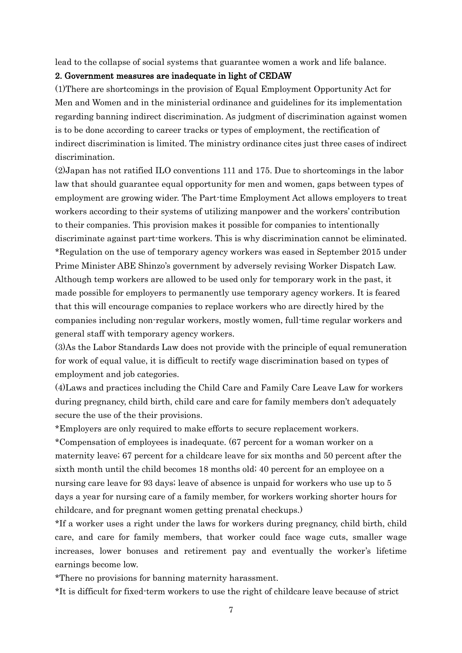lead to the collapse of social systems that guarantee women a work and life balance.

#### 2. Government measures are inadequate in light of CEDAW

(1)There are shortcomings in the provision of Equal Employment Opportunity Act for Men and Women and in the ministerial ordinance and guidelines for its implementation regarding banning indirect discrimination. As judgment of discrimination against women is to be done according to career tracks or types of employment, the rectification of indirect discrimination is limited. The ministry ordinance cites just three cases of indirect discrimination.

(2)Japan has not ratified ILO conventions 111 and 175. Due to shortcomings in the labor law that should guarantee equal opportunity for men and women, gaps between types of employment are growing wider. The Part-time Employment Act allows employers to treat workers according to their systems of utilizing manpower and the workers' contribution to their companies. This provision makes it possible for companies to intentionally discriminate against part-time workers. This is why discrimination cannot be eliminated. \*Regulation on the use of temporary agency workers was eased in September 2015 under Prime Minister ABE Shinzo's government by adversely revising Worker Dispatch Law. Although temp workers are allowed to be used only for temporary work in the past, it made possible for employers to permanently use temporary agency workers. It is feared that this will encourage companies to replace workers who are directly hired by the companies including non-regular workers, mostly women, full-time regular workers and general staff with temporary agency workers.

(3)As the Labor Standards Law does not provide with the principle of equal remuneration for work of equal value, it is difficult to rectify wage discrimination based on types of employment and job categories.

(4)Laws and practices including the Child Care and Family Care Leave Law for workers during pregnancy, child birth, child care and care for family members don't adequately secure the use of the their provisions.

\*Employers are only required to make efforts to secure replacement workers.

\*Compensation of employees is inadequate. (67 percent for a woman worker on a maternity leave; 67 percent for a childcare leave for six months and 50 percent after the sixth month until the child becomes 18 months old; 40 percent for an employee on a nursing care leave for 93 days; leave of absence is unpaid for workers who use up to 5 days a year for nursing care of a family member, for workers working shorter hours for childcare, and for pregnant women getting prenatal checkups.)

\*If a worker uses a right under the laws for workers during pregnancy, child birth, child care, and care for family members, that worker could face wage cuts, smaller wage increases, lower bonuses and retirement pay and eventually the worker's lifetime earnings become low.

\*There no provisions for banning maternity harassment.

\*It is difficult for fixed-term workers to use the right of childcare leave because of strict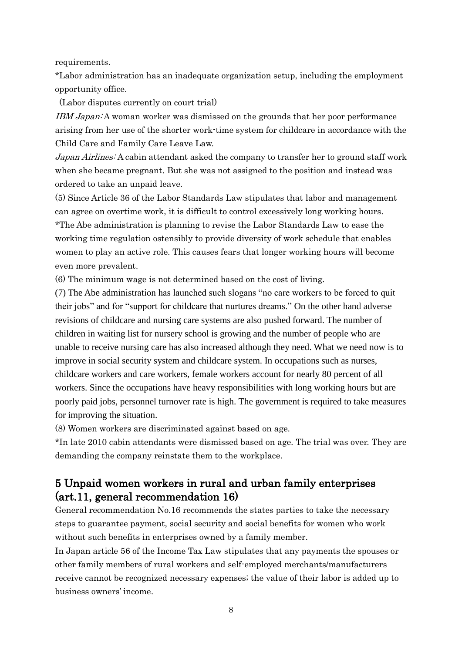requirements.

\*Labor administration has an inadequate organization setup, including the employment opportunity office.

(Labor disputes currently on court trial)

IBM Japan: A woman worker was dismissed on the grounds that her poor performance arising from her use of the shorter work-time system for childcare in accordance with the Child Care and Family Care Leave Law.

Japan Airlines: A cabin attendant asked the company to transfer her to ground staff work when she became pregnant. But she was not assigned to the position and instead was ordered to take an unpaid leave.

(5) Since Article 36 of the Labor Standards Law stipulates that labor and management can agree on overtime work, it is difficult to control excessively long working hours. \*The Abe administration is planning to revise the Labor Standards Law to ease the working time regulation ostensibly to provide diversity of work schedule that enables women to play an active role. This causes fears that longer working hours will become even more prevalent.

(6) The minimum wage is not determined based on the cost of living.

(7) The Abe administration has launched such slogans "no care workers to be forced to quit their jobs" and for "support for childcare that nurtures dreams." On the other hand adverse revisions of childcare and nursing care systems are also pushed forward. The number of children in waiting list for nursery school is growing and the number of people who are unable to receive nursing care has also increased although they need. What we need now is to improve in social security system and childcare system. In occupations such as nurses, childcare workers and care workers, female workers account for nearly 80 percent of all workers. Since the occupations have heavy responsibilities with long working hours but are poorly paid jobs, personnel turnover rate is high. The government is required to take measures for improving the situation.

(8) Women workers are discriminated against based on age.

\*In late 2010 cabin attendants were dismissed based on age. The trial was over. They are demanding the company reinstate them to the workplace.

# 5 Unpaid women workers in rural and urban family enterprises (art.11, general recommendation 16)

General recommendation No.16 recommends the states parties to take the necessary steps to guarantee payment, social security and social benefits for women who work without such benefits in enterprises owned by a family member.

In Japan article 56 of the Income Tax Law stipulates that any payments the spouses or other family members of rural workers and self-employed merchants/manufacturers receive cannot be recognized necessary expenses; the value of their labor is added up to business owners' income.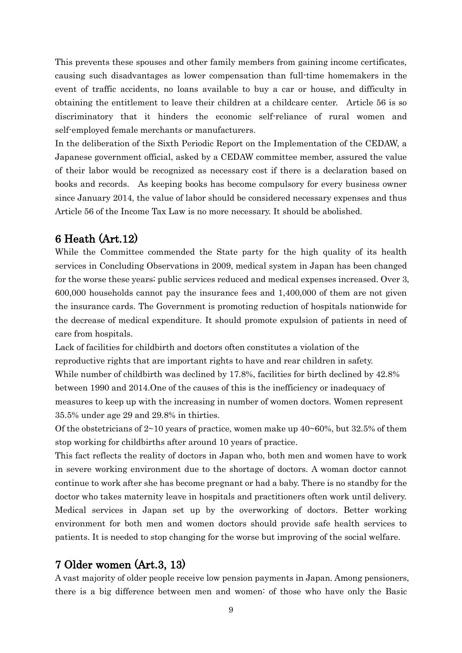This prevents these spouses and other family members from gaining income certificates, causing such disadvantages as lower compensation than full-time homemakers in the event of traffic accidents, no loans available to buy a car or house, and difficulty in obtaining the entitlement to leave their children at a childcare center. Article 56 is so discriminatory that it hinders the economic self-reliance of rural women and self-employed female merchants or manufacturers.

In the deliberation of the Sixth Periodic Report on the Implementation of the CEDAW, a Japanese government official, asked by a CEDAW committee member, assured the value of their labor would be recognized as necessary cost if there is a declaration based on books and records. As keeping books has become compulsory for every business owner since January 2014, the value of labor should be considered necessary expenses and thus Article 56 of the Income Tax Law is no more necessary. It should be abolished.

### 6 Heath (Art.12)

While the Committee commended the State party for the high quality of its health services in Concluding Observations in 2009, medical system in Japan has been changed for the worse these years; public services reduced and medical expenses increased. Over 3, 600,000 households cannot pay the insurance fees and 1,400,000 of them are not given the insurance cards. The Government is promoting reduction of hospitals nationwide for the decrease of medical expenditure. It should promote expulsion of patients in need of care from hospitals.

Lack of facilities for childbirth and doctors often constitutes a violation of the reproductive rights that are important rights to have and rear children in safety. While number of childbirth was declined by 17.8%, facilities for birth declined by 42.8% between 1990 and 2014.One of the causes of this is the inefficiency or inadequacy of measures to keep up with the increasing in number of women doctors. Women represent 35.5% under age 29 and 29.8% in thirties.

Of the obstetricians of  $2~10$  years of practice, women make up  $40~60\%$ , but  $32.5\%$  of them stop working for childbirths after around 10 years of practice.

This fact reflects the reality of doctors in Japan who, both men and women have to work in severe working environment due to the shortage of doctors. A woman doctor cannot continue to work after she has become pregnant or had a baby. There is no standby for the doctor who takes maternity leave in hospitals and practitioners often work until delivery. Medical services in Japan set up by the overworking of doctors. Better working environment for both men and women doctors should provide safe health services to patients. It is needed to stop changing for the worse but improving of the social welfare.

### 7 Older women (Art.3, 13)

A vast majority of older people receive low pension payments in Japan. Among pensioners, there is a big difference between men and women: of those who have only the Basic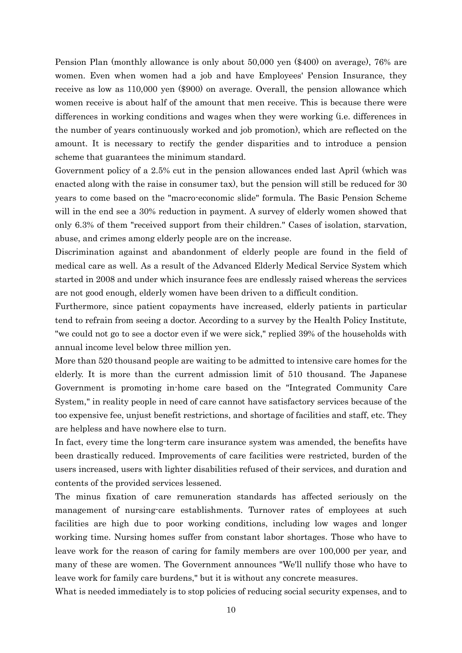Pension Plan (monthly allowance is only about 50,000 yen (\$400) on average), 76% are women. Even when women had a job and have Employees' Pension Insurance, they receive as low as 110,000 yen (\$900) on average. Overall, the pension allowance which women receive is about half of the amount that men receive. This is because there were differences in working conditions and wages when they were working (i.e. differences in the number of years continuously worked and job promotion), which are reflected on the amount. It is necessary to rectify the gender disparities and to introduce a pension scheme that guarantees the minimum standard.

Government policy of a 2.5% cut in the pension allowances ended last April (which was enacted along with the raise in consumer tax), but the pension will still be reduced for 30 years to come based on the "macro-economic slide" formula. The Basic Pension Scheme will in the end see a 30% reduction in payment. A survey of elderly women showed that only 6.3% of them "received support from their children." Cases of isolation, starvation, abuse, and crimes among elderly people are on the increase.

Discrimination against and abandonment of elderly people are found in the field of medical care as well. As a result of the Advanced Elderly Medical Service System which started in 2008 and under which insurance fees are endlessly raised whereas the services are not good enough, elderly women have been driven to a difficult condition.

Furthermore, since patient copayments have increased, elderly patients in particular tend to refrain from seeing a doctor. According to a survey by the Health Policy Institute, "we could not go to see a doctor even if we were sick," replied 39% of the households with annual income level below three million yen.

More than 520 thousand people are waiting to be admitted to intensive care homes for the elderly. It is more than the current admission limit of 510 thousand. The Japanese Government is promoting in-home care based on the "Integrated Community Care System," in reality people in need of care cannot have satisfactory services because of the too expensive fee, unjust benefit restrictions, and shortage of facilities and staff, etc. They are helpless and have nowhere else to turn.

In fact, every time the long-term care insurance system was amended, the benefits have been drastically reduced. Improvements of care facilities were restricted, burden of the users increased, users with lighter disabilities refused of their services, and duration and contents of the provided services lessened.

The minus fixation of care remuneration standards has affected seriously on the management of nursing-care establishments. Turnover rates of employees at such facilities are high due to poor working conditions, including low wages and longer working time. Nursing homes suffer from constant labor shortages. Those who have to leave work for the reason of caring for family members are over 100,000 per year, and many of these are women. The Government announces "We'll nullify those who have to leave work for family care burdens," but it is without any concrete measures.

What is needed immediately is to stop policies of reducing social security expenses, and to